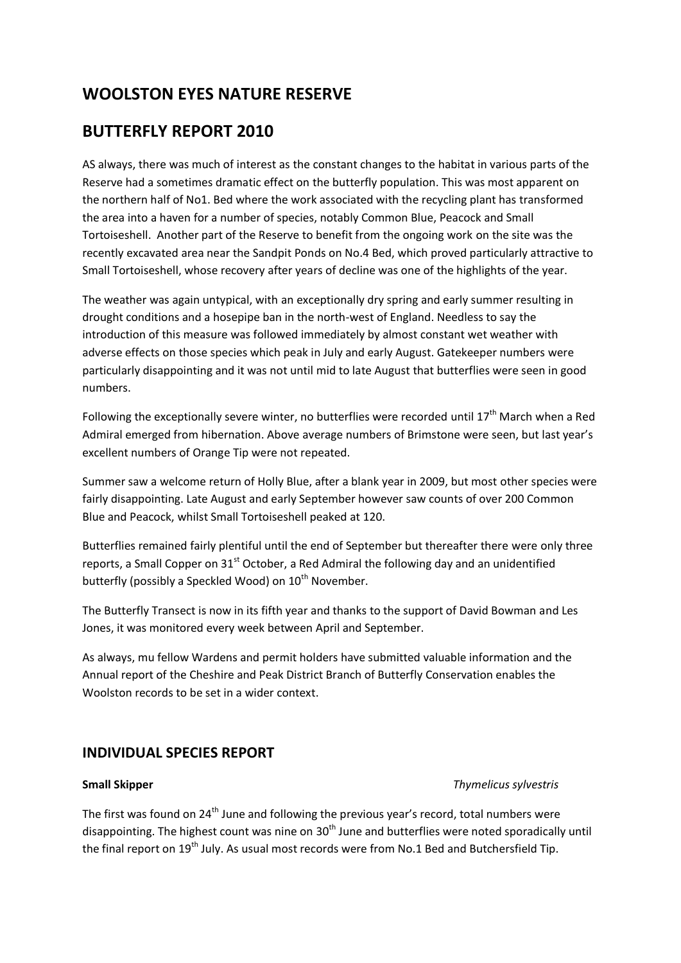# **WOOLSTON EYES NATURE RESERVE**

# **BUTTERFLY REPORT 2010**

AS always, there was much of interest as the constant changes to the habitat in various parts of the Reserve had a sometimes dramatic effect on the butterfly population. This was most apparent on the northern half of No1. Bed where the work associated with the recycling plant has transformed the area into a haven for a number of species, notably Common Blue, Peacock and Small Tortoiseshell. Another part of the Reserve to benefit from the ongoing work on the site was the recently excavated area near the Sandpit Ponds on No.4 Bed, which proved particularly attractive to Small Tortoiseshell, whose recovery after years of decline was one of the highlights of the year.

The weather was again untypical, with an exceptionally dry spring and early summer resulting in drought conditions and a hosepipe ban in the north-west of England. Needless to say the introduction of this measure was followed immediately by almost constant wet weather with adverse effects on those species which peak in July and early August. Gatekeeper numbers were particularly disappointing and it was not until mid to late August that butterflies were seen in good numbers.

Following the exceptionally severe winter, no butterflies were recorded until  $17<sup>th</sup>$  March when a Red Admiral emerged from hibernation. Above average numbers of Brimstone were seen, but last year's excellent numbers of Orange Tip were not repeated.

Summer saw a welcome return of Holly Blue, after a blank year in 2009, but most other species were fairly disappointing. Late August and early September however saw counts of over 200 Common Blue and Peacock, whilst Small Tortoiseshell peaked at 120.

Butterflies remained fairly plentiful until the end of September but thereafter there were only three reports, a Small Copper on  $31<sup>st</sup>$  October, a Red Admiral the following day and an unidentified butterfly (possibly a Speckled Wood) on 10<sup>th</sup> November.

The Butterfly Transect is now in its fifth year and thanks to the support of David Bowman and Les Jones, it was monitored every week between April and September.

As always, mu fellow Wardens and permit holders have submitted valuable information and the Annual report of the Cheshire and Peak District Branch of Butterfly Conservation enables the Woolston records to be set in a wider context.

# **INDIVIDUAL SPECIES REPORT**

# **Small Skipper** *Thymelicus sylvestris*

The first was found on 24<sup>th</sup> June and following the previous year's record, total numbers were disappointing. The highest count was nine on  $30<sup>th</sup>$  June and butterflies were noted sporadically until the final report on 19<sup>th</sup> July. As usual most records were from No.1 Bed and Butchersfield Tip.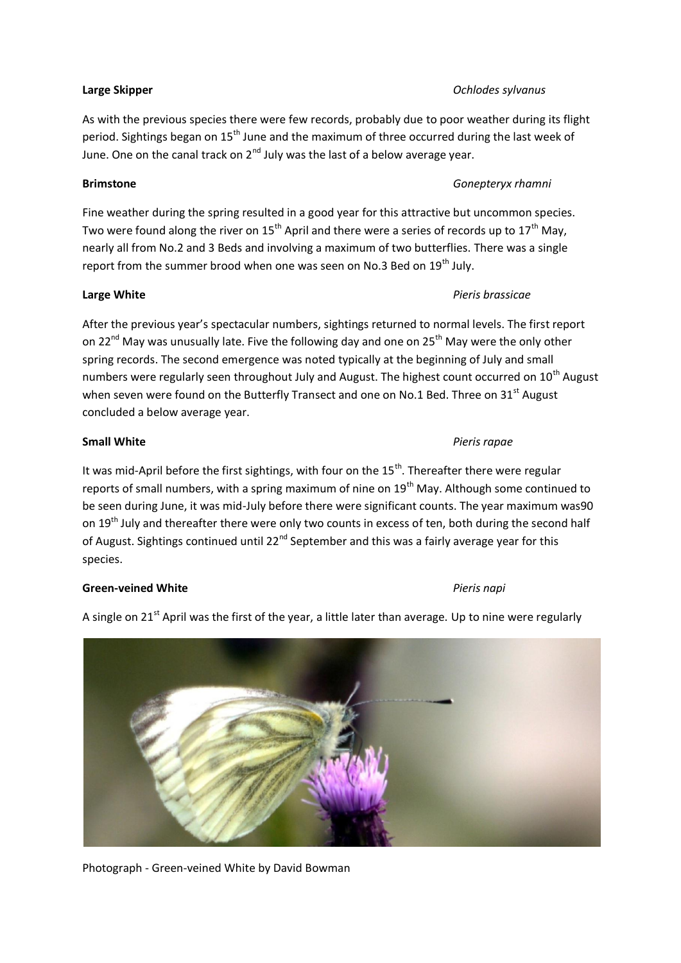### **Large Skipper** *Ochlodes sylvanus*

As with the previous species there were few records, probably due to poor weather during its flight period. Sightings began on 15<sup>th</sup> June and the maximum of three occurred during the last week of June. One on the canal track on  $2^{nd}$  July was the last of a below average year.

## **Brimstone** *Gonepteryx rhamni*

Fine weather during the spring resulted in a good year for this attractive but uncommon species. Two were found along the river on 15<sup>th</sup> April and there were a series of records up to 17<sup>th</sup> May, nearly all from No.2 and 3 Beds and involving a maximum of two butterflies. There was a single report from the summer brood when one was seen on No.3 Bed on 19<sup>th</sup> July.

## **Large White** *Pieris brassicae*

After the previous year's spectacular numbers, sightings returned to normal levels. The first report on 22<sup>nd</sup> May was unusually late. Five the following day and one on 25<sup>th</sup> May were the only other spring records. The second emergence was noted typically at the beginning of July and small numbers were regularly seen throughout July and August. The highest count occurred on 10<sup>th</sup> August when seven were found on the Butterfly Transect and one on No.1 Bed. Three on 31st August concluded a below average year.

# **Small White** *Pieris rapae*

It was mid-April before the first sightings, with four on the  $15<sup>th</sup>$ . Thereafter there were regular reports of small numbers, with a spring maximum of nine on 19<sup>th</sup> May. Although some continued to be seen during June, it was mid-July before there were significant counts. The year maximum was90 on 19<sup>th</sup> July and thereafter there were only two counts in excess of ten, both during the second half of August. Sightings continued until  $22^{nd}$  September and this was a fairly average year for this species.

A single on  $21<sup>st</sup>$  April was the first of the year, a little later than average. Up to nine were regularly

# **Green-veined White** *Pieris napi*

Photograph - Green-veined White by David Bowman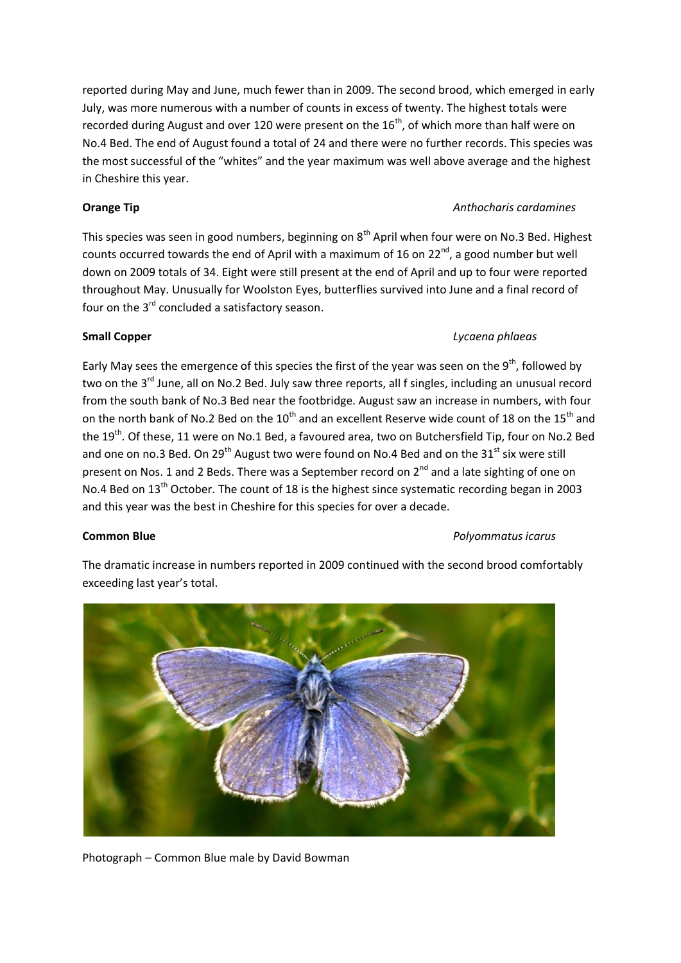reported during May and June, much fewer than in 2009. The second brood, which emerged in early July, was more numerous with a number of counts in excess of twenty. The highest totals were recorded during August and over 120 were present on the  $16<sup>th</sup>$ , of which more than half were on No.4 Bed. The end of August found a total of 24 and there were no further records. This species was the most successful of the "whites" and the year maximum was well above average and the highest in Cheshire this year.

# **Orange Tip** *Anthocharis cardamines*

This species was seen in good numbers, beginning on  $8<sup>th</sup>$  April when four were on No.3 Bed. Highest counts occurred towards the end of April with a maximum of 16 on  $22^{nd}$ , a good number but well down on 2009 totals of 34. Eight were still present at the end of April and up to four were reported throughout May. Unusually for Woolston Eyes, butterflies survived into June and a final record of four on the 3<sup>rd</sup> concluded a satisfactory season.

# **Small Copper** *Lycaena phlaeas*

Early May sees the emergence of this species the first of the year was seen on the 9<sup>th</sup>, followed by two on the 3<sup>rd</sup> June, all on No.2 Bed. July saw three reports, all f singles, including an unusual record from the south bank of No.3 Bed near the footbridge. August saw an increase in numbers, with four on the north bank of No.2 Bed on the  $10^{th}$  and an excellent Reserve wide count of 18 on the 15<sup>th</sup> and the 19<sup>th</sup>. Of these, 11 were on No.1 Bed, a favoured area, two on Butchersfield Tip, four on No.2 Bed and one on no.3 Bed. On 29<sup>th</sup> August two were found on No.4 Bed and on the 31<sup>st</sup> six were still present on Nos. 1 and 2 Beds. There was a September record on 2<sup>nd</sup> and a late sighting of one on No.4 Bed on 13<sup>th</sup> October. The count of 18 is the highest since systematic recording began in 2003 and this year was the best in Cheshire for this species for over a decade.

# **Common Blue** *Polyommatus icarus*

The dramatic increase in numbers reported in 2009 continued with the second brood comfortably exceeding last year's total.



Photograph – Common Blue male by David Bowman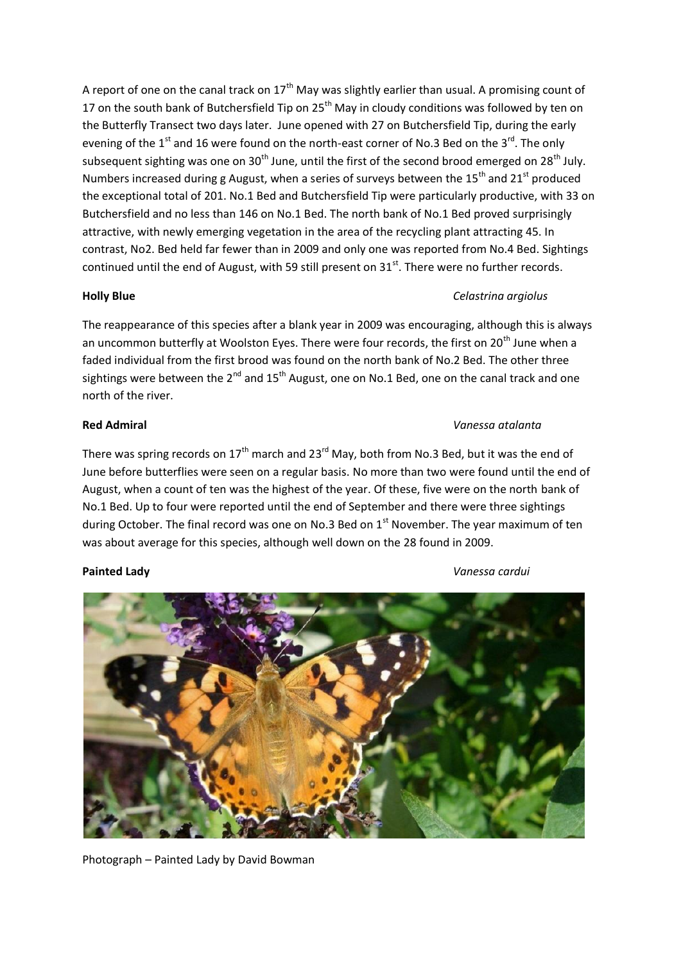A report of one on the canal track on  $17<sup>th</sup>$  May was slightly earlier than usual. A promising count of 17 on the south bank of Butchersfield Tip on  $25<sup>th</sup>$  May in cloudy conditions was followed by ten on the Butterfly Transect two days later. June opened with 27 on Butchersfield Tip, during the early evening of the  $1<sup>st</sup>$  and 16 were found on the north-east corner of No.3 Bed on the 3<sup>rd</sup>. The only subsequent sighting was one on  $30<sup>th</sup>$  June, until the first of the second brood emerged on 28<sup>th</sup> July. Numbers increased during g August, when a series of surveys between the  $15<sup>th</sup>$  and  $21<sup>st</sup>$  produced the exceptional total of 201. No.1 Bed and Butchersfield Tip were particularly productive, with 33 on Butchersfield and no less than 146 on No.1 Bed. The north bank of No.1 Bed proved surprisingly attractive, with newly emerging vegetation in the area of the recycling plant attracting 45. In contrast, No2. Bed held far fewer than in 2009 and only one was reported from No.4 Bed. Sightings continued until the end of August, with 59 still present on  $31<sup>st</sup>$ . There were no further records.

# **Holly Blue** *Celastrina argiolus*

The reappearance of this species after a blank year in 2009 was encouraging, although this is always an uncommon butterfly at Woolston Eyes. There were four records, the first on 20<sup>th</sup> June when a faded individual from the first brood was found on the north bank of No.2 Bed. The other three sightings were between the  $2^{nd}$  and  $15^{th}$  August, one on No.1 Bed, one on the canal track and one north of the river.

# **Red Admiral** *Vanessa atalanta*

# There was spring records on  $17<sup>th</sup>$  march and  $23<sup>rd</sup>$  May, both from No.3 Bed, but it was the end of June before butterflies were seen on a regular basis. No more than two were found until the end of August, when a count of ten was the highest of the year. Of these, five were on the north bank of No.1 Bed. Up to four were reported until the end of September and there were three sightings during October. The final record was one on No.3 Bed on  $1<sup>st</sup>$  November. The year maximum of ten was about average for this species, although well down on the 28 found in 2009.

### **Painted Lady** *Vanessa cardui*

Photograph – Painted Lady by David Bowman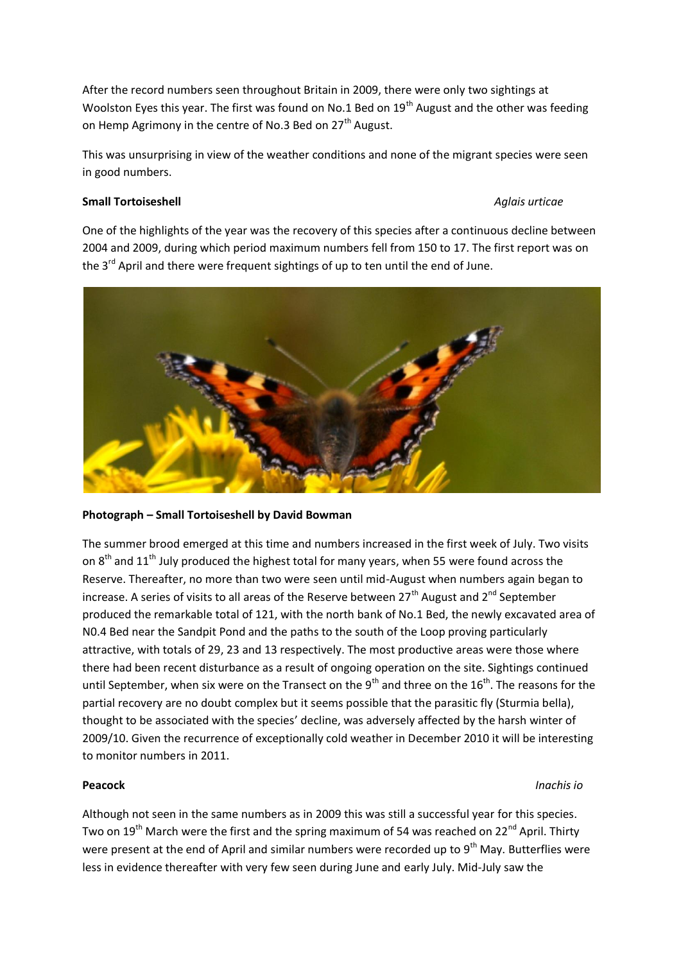After the record numbers seen throughout Britain in 2009, there were only two sightings at Woolston Eyes this year. The first was found on No.1 Bed on 19<sup>th</sup> August and the other was feeding on Hemp Agrimony in the centre of No.3 Bed on 27<sup>th</sup> August.

This was unsurprising in view of the weather conditions and none of the migrant species were seen in good numbers.

### **Small Tortoiseshell Aglais urticae** *Aglais urticae Aglais urticae*

One of the highlights of the year was the recovery of this species after a continuous decline between 2004 and 2009, during which period maximum numbers fell from 150 to 17. The first report was on the  $3^{rd}$  April and there were frequent sightings of up to ten until the end of June.



### **Photograph – Small Tortoiseshell by David Bowman**

The summer brood emerged at this time and numbers increased in the first week of July. Two visits on  $8<sup>th</sup>$  and  $11<sup>th</sup>$  July produced the highest total for many years, when 55 were found across the Reserve. Thereafter, no more than two were seen until mid-August when numbers again began to increase. A series of visits to all areas of the Reserve between  $27<sup>th</sup>$  August and  $2<sup>nd</sup>$  September produced the remarkable total of 121, with the north bank of No.1 Bed, the newly excavated area of N0.4 Bed near the Sandpit Pond and the paths to the south of the Loop proving particularly attractive, with totals of 29, 23 and 13 respectively. The most productive areas were those where there had been recent disturbance as a result of ongoing operation on the site. Sightings continued until September, when six were on the Transect on the  $9<sup>th</sup>$  and three on the  $16<sup>th</sup>$ . The reasons for the partial recovery are no doubt complex but it seems possible that the parasitic fly (Sturmia bella), thought to be associated with the species' decline, was adversely affected by the harsh winter of 2009/10. Given the recurrence of exceptionally cold weather in December 2010 it will be interesting to monitor numbers in 2011.

### **Peacock** *Inachis io*

Although not seen in the same numbers as in 2009 this was still a successful year for this species. Two on 19<sup>th</sup> March were the first and the spring maximum of 54 was reached on 22<sup>nd</sup> April. Thirty were present at the end of April and similar numbers were recorded up to  $9<sup>th</sup>$  May. Butterflies were less in evidence thereafter with very few seen during June and early July. Mid-July saw the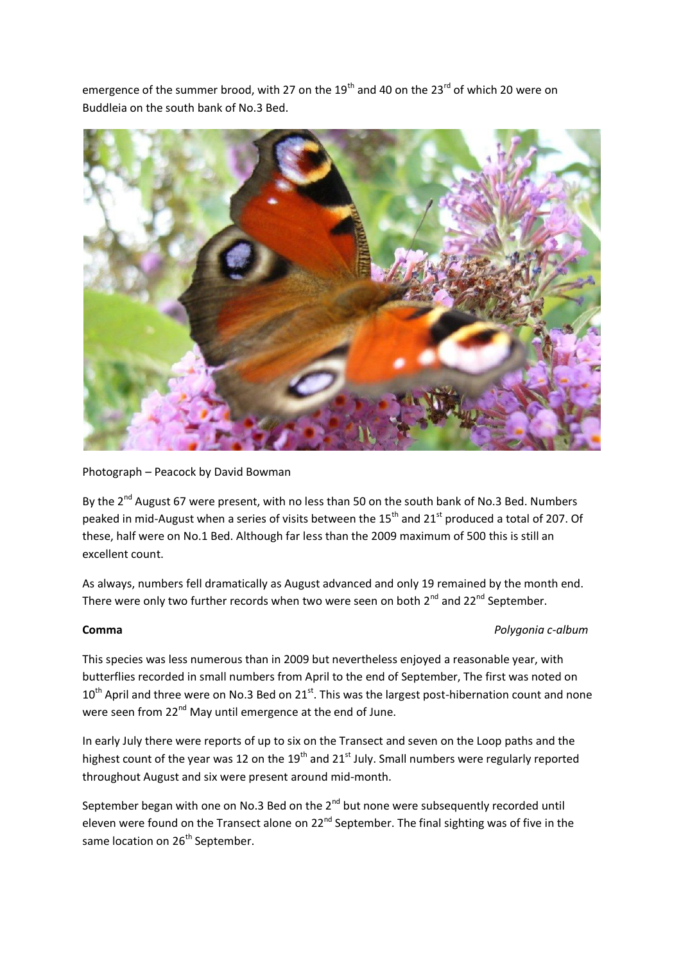emergence of the summer brood, with 27 on the  $19<sup>th</sup>$  and 40 on the 23<sup>rd</sup> of which 20 were on Buddleia on the south bank of No.3 Bed.



### Photograph – Peacock by David Bowman

By the 2<sup>nd</sup> August 67 were present, with no less than 50 on the south bank of No.3 Bed. Numbers peaked in mid-August when a series of visits between the 15<sup>th</sup> and 21<sup>st</sup> produced a total of 207. Of these, half were on No.1 Bed. Although far less than the 2009 maximum of 500 this is still an excellent count.

As always, numbers fell dramatically as August advanced and only 19 remained by the month end. There were only two further records when two were seen on both  $2^{nd}$  and  $22^{nd}$  September.

### **Comma** *Polygonia c-album*

This species was less numerous than in 2009 but nevertheless enjoyed a reasonable year, with butterflies recorded in small numbers from April to the end of September, The first was noted on  $10^{th}$  April and three were on No.3 Bed on 21st. This was the largest post-hibernation count and none were seen from 22<sup>nd</sup> May until emergence at the end of June.

In early July there were reports of up to six on the Transect and seven on the Loop paths and the highest count of the year was 12 on the  $19<sup>th</sup>$  and 21<sup>st</sup> July. Small numbers were regularly reported throughout August and six were present around mid-month.

September began with one on No.3 Bed on the  $2<sup>nd</sup>$  but none were subsequently recorded until eleven were found on the Transect alone on 22<sup>nd</sup> September. The final sighting was of five in the same location on 26<sup>th</sup> September.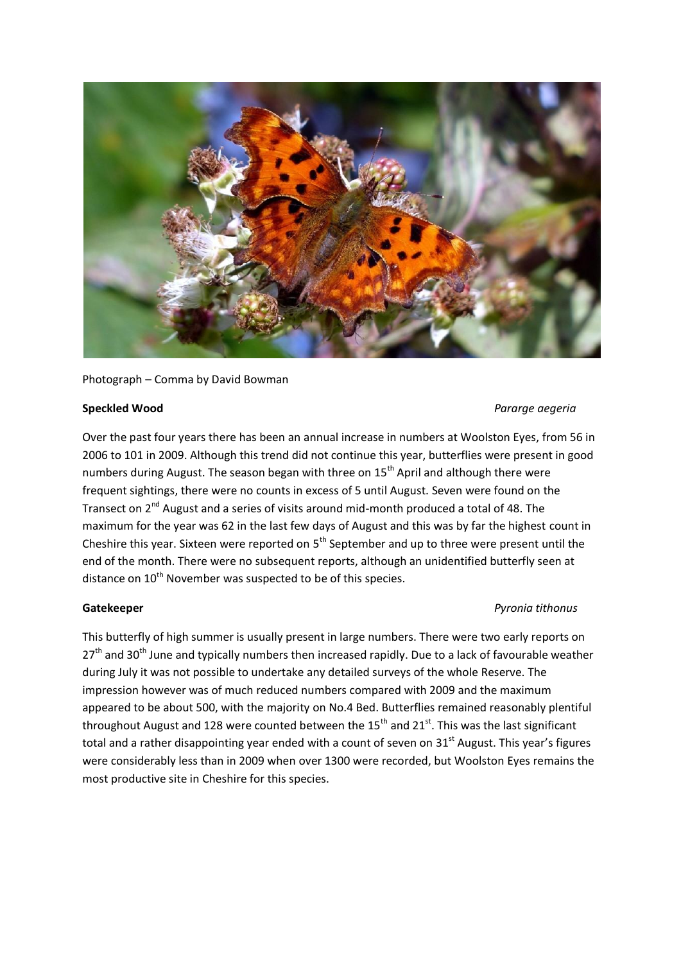

Photograph – Comma by David Bowman

### **Speckled Wood** *Pararge aegeria*

Over the past four years there has been an annual increase in numbers at Woolston Eyes, from 56 in 2006 to 101 in 2009. Although this trend did not continue this year, butterflies were present in good numbers during August. The season began with three on 15<sup>th</sup> April and although there were frequent sightings, there were no counts in excess of 5 until August. Seven were found on the Transect on 2<sup>nd</sup> August and a series of visits around mid-month produced a total of 48. The maximum for the year was 62 in the last few days of August and this was by far the highest count in Cheshire this year. Sixteen were reported on  $5<sup>th</sup>$  September and up to three were present until the end of the month. There were no subsequent reports, although an unidentified butterfly seen at distance on 10<sup>th</sup> November was suspected to be of this species.

This butterfly of high summer is usually present in large numbers. There were two early reports on  $27<sup>th</sup>$  and 30<sup>th</sup> June and typically numbers then increased rapidly. Due to a lack of favourable weather during July it was not possible to undertake any detailed surveys of the whole Reserve. The impression however was of much reduced numbers compared with 2009 and the maximum appeared to be about 500, with the majority on No.4 Bed. Butterflies remained reasonably plentiful throughout August and 128 were counted between the  $15<sup>th</sup>$  and  $21<sup>st</sup>$ . This was the last significant total and a rather disappointing year ended with a count of seven on 31<sup>st</sup> August. This year's figures were considerably less than in 2009 when over 1300 were recorded, but Woolston Eyes remains the most productive site in Cheshire for this species.

# **Gatekeeper** *Pyronia tithonus*